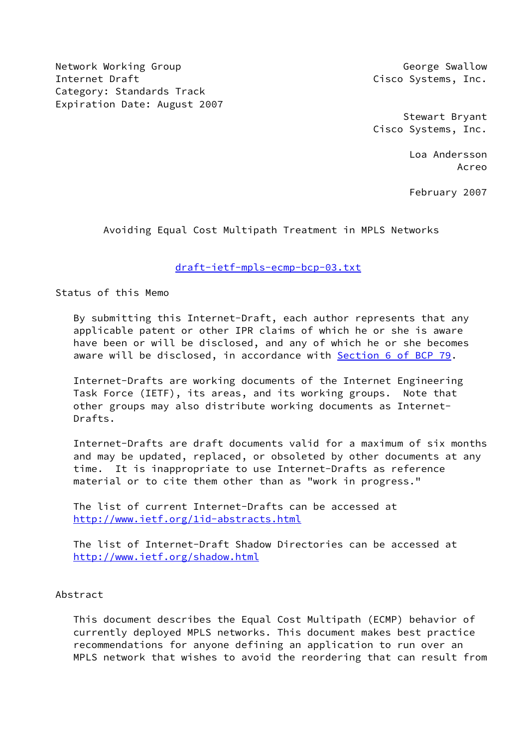Network Working Group George Swallow George Swallow Internet Draft Cisco Systems, Inc. Category: Standards Track Expiration Date: August 2007

 Stewart Bryant Cisco Systems, Inc.

 Loa Andersson Acreo

February 2007

Avoiding Equal Cost Multipath Treatment in MPLS Networks

[draft-ietf-mpls-ecmp-bcp-03.txt](https://datatracker.ietf.org/doc/pdf/draft-ietf-mpls-ecmp-bcp-03.txt)

Status of this Memo

 By submitting this Internet-Draft, each author represents that any applicable patent or other IPR claims of which he or she is aware have been or will be disclosed, and any of which he or she becomes aware will be disclosed, in accordance with **Section [6 of BCP 79.](https://datatracker.ietf.org/doc/pdf/bcp79#section-6)** 

 Internet-Drafts are working documents of the Internet Engineering Task Force (IETF), its areas, and its working groups. Note that other groups may also distribute working documents as Internet- Drafts.

 Internet-Drafts are draft documents valid for a maximum of six months and may be updated, replaced, or obsoleted by other documents at any time. It is inappropriate to use Internet-Drafts as reference material or to cite them other than as "work in progress."

 The list of current Internet-Drafts can be accessed at <http://www.ietf.org/1id-abstracts.html>

 The list of Internet-Draft Shadow Directories can be accessed at <http://www.ietf.org/shadow.html>

Abstract

 This document describes the Equal Cost Multipath (ECMP) behavior of currently deployed MPLS networks. This document makes best practice recommendations for anyone defining an application to run over an MPLS network that wishes to avoid the reordering that can result from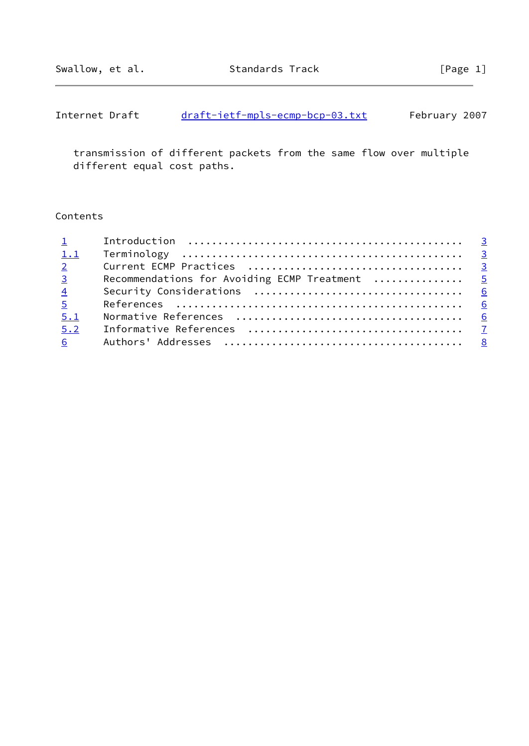| Internet Draft | draft-ietf-mpls-ecmp-bcp-03.txt |  | February 2007 |  |
|----------------|---------------------------------|--|---------------|--|
|                |                                 |  |               |  |

 transmission of different packets from the same flow over multiple different equal cost paths.

# Contents

| $1$ and $1$     |                                                |  |
|-----------------|------------------------------------------------|--|
| 1.1             |                                                |  |
| $\overline{2}$  |                                                |  |
| $\overline{3}$  | Recommendations for Avoiding ECMP Treatment  5 |  |
| $\overline{4}$  |                                                |  |
| $5 -$           |                                                |  |
| 5.1             |                                                |  |
| 5.2             |                                                |  |
| $6\overline{6}$ |                                                |  |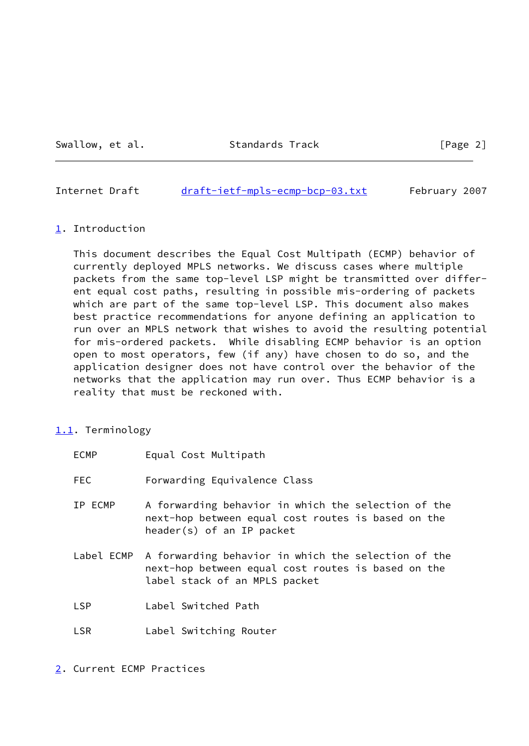Swallow, et al. Standards Track [Page 2]

<span id="page-2-1"></span>Internet Draft [draft-ietf-mpls-ecmp-bcp-03.txt](https://datatracker.ietf.org/doc/pdf/draft-ietf-mpls-ecmp-bcp-03.txt) February 2007

#### <span id="page-2-0"></span>[1](#page-2-0). Introduction

 This document describes the Equal Cost Multipath (ECMP) behavior of currently deployed MPLS networks. We discuss cases where multiple packets from the same top-level LSP might be transmitted over differ ent equal cost paths, resulting in possible mis-ordering of packets which are part of the same top-level LSP. This document also makes best practice recommendations for anyone defining an application to run over an MPLS network that wishes to avoid the resulting potential for mis-ordered packets. While disabling ECMP behavior is an option open to most operators, few (if any) have chosen to do so, and the application designer does not have control over the behavior of the networks that the application may run over. Thus ECMP behavior is a reality that must be reckoned with.

## <span id="page-2-2"></span>[1.1](#page-2-2). Terminology

| <b>ECMP</b> | Equal Cost Multipath                                                                                                                       |
|-------------|--------------------------------------------------------------------------------------------------------------------------------------------|
| <b>FEC</b>  | Forwarding Equivalence Class                                                                                                               |
| IP ECMP     | A forwarding behavior in which the selection of the<br>next-hop between equal cost routes is based on the<br>header(s) of an IP packet     |
| Label ECMP  | A forwarding behavior in which the selection of the<br>next-hop between equal cost routes is based on the<br>label stack of an MPLS packet |
| <b>LSP</b>  | Label Switched Path                                                                                                                        |
| <b>LSR</b>  | Label Switching Router                                                                                                                     |

<span id="page-2-3"></span>[2](#page-2-3). Current ECMP Practices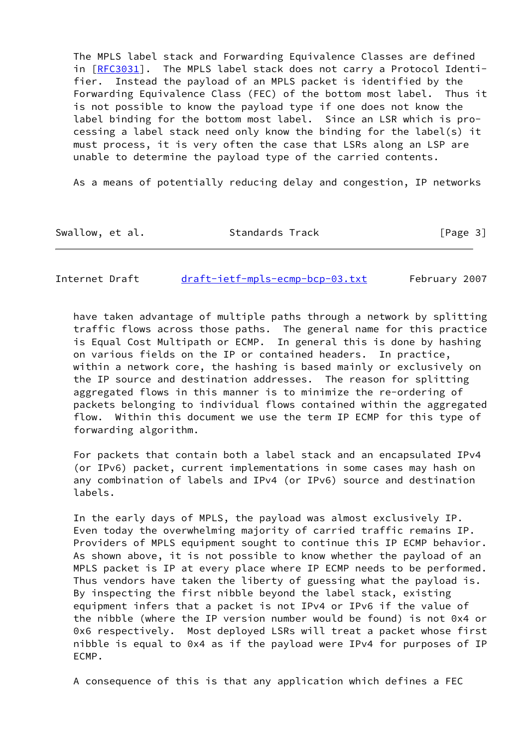The MPLS label stack and Forwarding Equivalence Classes are defined in [[RFC3031\]](https://datatracker.ietf.org/doc/pdf/rfc3031). The MPLS label stack does not carry a Protocol Identi fier. Instead the payload of an MPLS packet is identified by the Forwarding Equivalence Class (FEC) of the bottom most label. Thus it is not possible to know the payload type if one does not know the label binding for the bottom most label. Since an LSR which is pro cessing a label stack need only know the binding for the label(s) it must process, it is very often the case that LSRs along an LSP are unable to determine the payload type of the carried contents.

As a means of potentially reducing delay and congestion, IP networks

| Swallow, et al.<br>Standards Track | [Page 3] |
|------------------------------------|----------|
|------------------------------------|----------|

Internet Draft [draft-ietf-mpls-ecmp-bcp-03.txt](https://datatracker.ietf.org/doc/pdf/draft-ietf-mpls-ecmp-bcp-03.txt) February 2007

 have taken advantage of multiple paths through a network by splitting traffic flows across those paths. The general name for this practice is Equal Cost Multipath or ECMP. In general this is done by hashing on various fields on the IP or contained headers. In practice, within a network core, the hashing is based mainly or exclusively on the IP source and destination addresses. The reason for splitting aggregated flows in this manner is to minimize the re-ordering of packets belonging to individual flows contained within the aggregated flow. Within this document we use the term IP ECMP for this type of forwarding algorithm.

 For packets that contain both a label stack and an encapsulated IPv4 (or IPv6) packet, current implementations in some cases may hash on any combination of labels and IPv4 (or IPv6) source and destination labels.

 In the early days of MPLS, the payload was almost exclusively IP. Even today the overwhelming majority of carried traffic remains IP. Providers of MPLS equipment sought to continue this IP ECMP behavior. As shown above, it is not possible to know whether the payload of an MPLS packet is IP at every place where IP ECMP needs to be performed. Thus vendors have taken the liberty of guessing what the payload is. By inspecting the first nibble beyond the label stack, existing equipment infers that a packet is not IPv4 or IPv6 if the value of the nibble (where the IP version number would be found) is not 0x4 or 0x6 respectively. Most deployed LSRs will treat a packet whose first nibble is equal to 0x4 as if the payload were IPv4 for purposes of IP ECMP.

A consequence of this is that any application which defines a FEC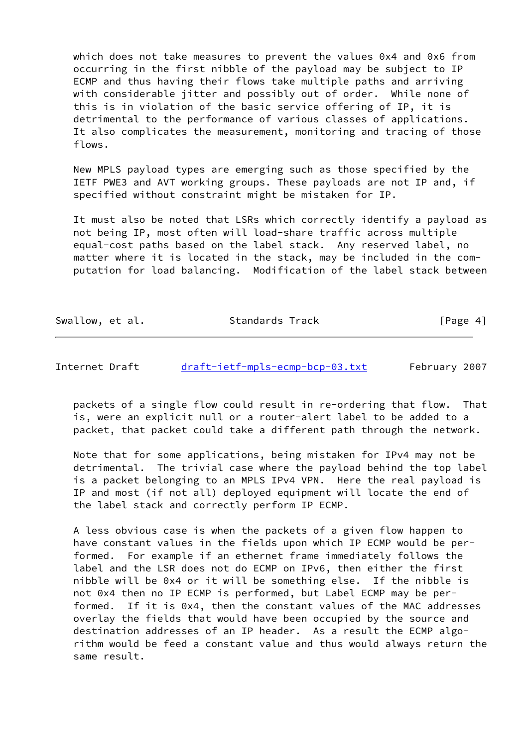which does not take measures to prevent the values 0x4 and 0x6 from occurring in the first nibble of the payload may be subject to IP ECMP and thus having their flows take multiple paths and arriving with considerable jitter and possibly out of order. While none of this is in violation of the basic service offering of IP, it is detrimental to the performance of various classes of applications. It also complicates the measurement, monitoring and tracing of those flows.

 New MPLS payload types are emerging such as those specified by the IETF PWE3 and AVT working groups. These payloads are not IP and, if specified without constraint might be mistaken for IP.

 It must also be noted that LSRs which correctly identify a payload as not being IP, most often will load-share traffic across multiple equal-cost paths based on the label stack. Any reserved label, no matter where it is located in the stack, may be included in the com putation for load balancing. Modification of the label stack between

Swallow, et al. Standards Track [Page 4]

<span id="page-4-0"></span>Internet Draft [draft-ietf-mpls-ecmp-bcp-03.txt](https://datatracker.ietf.org/doc/pdf/draft-ietf-mpls-ecmp-bcp-03.txt) February 2007

 packets of a single flow could result in re-ordering that flow. That is, were an explicit null or a router-alert label to be added to a packet, that packet could take a different path through the network.

 Note that for some applications, being mistaken for IPv4 may not be detrimental. The trivial case where the payload behind the top label is a packet belonging to an MPLS IPv4 VPN. Here the real payload is IP and most (if not all) deployed equipment will locate the end of the label stack and correctly perform IP ECMP.

 A less obvious case is when the packets of a given flow happen to have constant values in the fields upon which IP ECMP would be per formed. For example if an ethernet frame immediately follows the label and the LSR does not do ECMP on IPv6, then either the first nibble will be 0x4 or it will be something else. If the nibble is not 0x4 then no IP ECMP is performed, but Label ECMP may be per formed. If it is 0x4, then the constant values of the MAC addresses overlay the fields that would have been occupied by the source and destination addresses of an IP header. As a result the ECMP algo rithm would be feed a constant value and thus would always return the same result.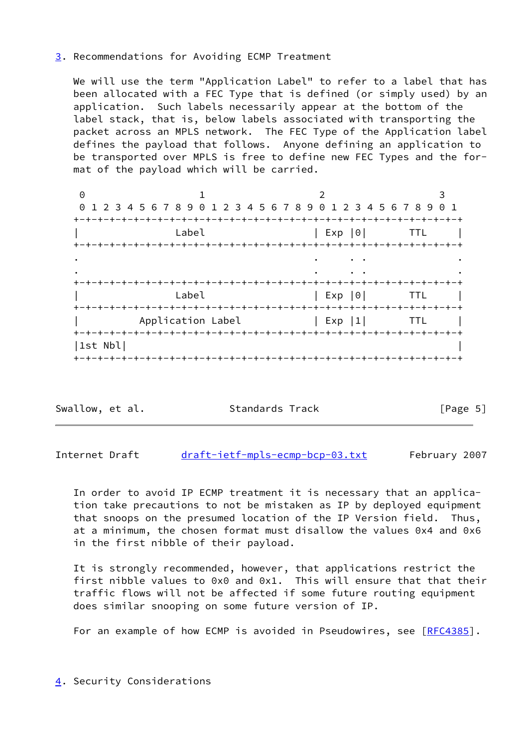### <span id="page-5-0"></span>[3](#page-5-0). Recommendations for Avoiding ECMP Treatment

 We will use the term "Application Label" to refer to a label that has been allocated with a FEC Type that is defined (or simply used) by an application. Such labels necessarily appear at the bottom of the label stack, that is, below labels associated with transporting the packet across an MPLS network. The FEC Type of the Application label defines the payload that follows. Anyone defining an application to be transported over MPLS is free to define new FEC Types and the for mat of the payload which will be carried.

0 1 2 3 0 1 2 3 4 5 6 7 8 9 0 1 2 3 4 5 6 7 8 9 0 1 2 3 4 5 6 7 8 9 0 1 +-+-+-+-+-+-+-+-+-+-+-+-+-+-+-+-+-+-+-+-+-+-+-+-+-+-+-+-+-+-+-+-+  $\begin{array}{c|c|c|c|c|c} \text{Label} & & & \text{Exp & 0} & & \text{TTL} & & \end{array}$  +-+-+-+-+-+-+-+-+-+-+-+-+-+-+-+-+-+-+-+-+-+-+-+-+-+-+-+-+-+-+-+-+ . The contract of the contract of the contract of the contract of the contract of the contract of the contract of the contract of the contract of the contract of the contract of the contract of the contract of the contrac . The contract of the contract of the contract of the contract of the contract of the contract of the contract of the contract of the contract of the contract of the contract of the contract of the contract of the contrac +-+-+-+-+-+-+-+-+-+-+-+-+-+-+-+-+-+-+-+-+-+-+-+-+-+-+-+-+-+-+-+-+  $\begin{array}{c|c|c|c|c|c} \hline \text{Label} & & & \text{Exp & 0} & & \text{TTL} & \text{I} \end{array}$  +-+-+-+-+-+-+-+-+-+-+-+-+-+-+-+-+-+-+-+-+-+-+-+-+-+-+-+-+-+-+-+-+ Application Label  $|$  Exp |1| TTL | +-+-+-+-+-+-+-+-+-+-+-+-+-+-+-+-+-+-+-+-+-+-+-+-+-+-+-+-+-+-+-+-+ |1st Nbl| | +-+-+-+-+-+-+-+-+-+-+-+-+-+-+-+-+-+-+-+-+-+-+-+-+-+-+-+-+-+-+-+-+

Swallow, et al. Standards Track [Page 5]

<span id="page-5-2"></span>Internet Draft [draft-ietf-mpls-ecmp-bcp-03.txt](https://datatracker.ietf.org/doc/pdf/draft-ietf-mpls-ecmp-bcp-03.txt) February 2007

 In order to avoid IP ECMP treatment it is necessary that an applica tion take precautions to not be mistaken as IP by deployed equipment that snoops on the presumed location of the IP Version field. Thus, at a minimum, the chosen format must disallow the values 0x4 and 0x6 in the first nibble of their payload.

 It is strongly recommended, however, that applications restrict the first nibble values to 0x0 and 0x1. This will ensure that that their traffic flows will not be affected if some future routing equipment does similar snooping on some future version of IP.

For an example of how ECMP is avoided in Pseudowires, see [[RFC4385](https://datatracker.ietf.org/doc/pdf/rfc4385)].

<span id="page-5-1"></span>[4](#page-5-1). Security Considerations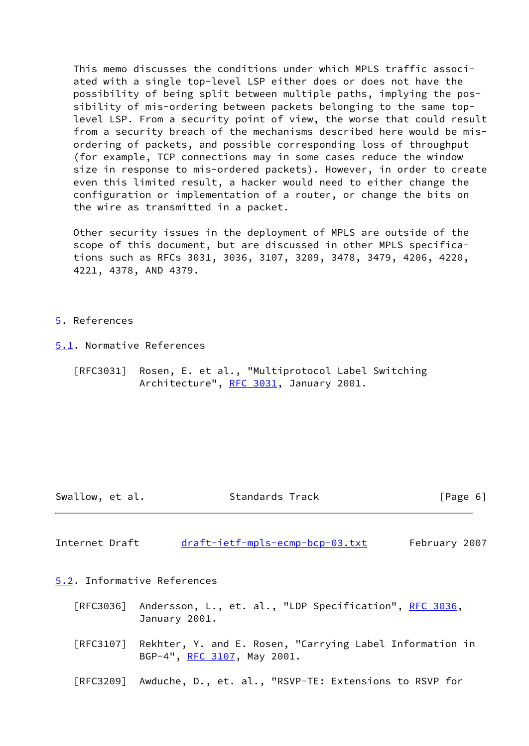This memo discusses the conditions under which MPLS traffic associ ated with a single top-level LSP either does or does not have the possibility of being split between multiple paths, implying the pos sibility of mis-ordering between packets belonging to the same top level LSP. From a security point of view, the worse that could result from a security breach of the mechanisms described here would be mis ordering of packets, and possible corresponding loss of throughput (for example, TCP connections may in some cases reduce the window size in response to mis-ordered packets). However, in order to create even this limited result, a hacker would need to either change the configuration or implementation of a router, or change the bits on the wire as transmitted in a packet.

 Other security issues in the deployment of MPLS are outside of the scope of this document, but are discussed in other MPLS specifica tions such as RFCs 3031, 3036, 3107, 3209, 3478, 3479, 4206, 4220, 4221, 4378, AND 4379.

#### <span id="page-6-0"></span>[5](#page-6-0). References

<span id="page-6-1"></span>[5.1](#page-6-1). Normative References

 [RFC3031] Rosen, E. et al., "Multiprotocol Label Switching Architecture", [RFC 3031](https://datatracker.ietf.org/doc/pdf/rfc3031), January 2001.

Swallow, et al. Standards Track [Page 6]

<span id="page-6-3"></span>Internet Draft [draft-ietf-mpls-ecmp-bcp-03.txt](https://datatracker.ietf.org/doc/pdf/draft-ietf-mpls-ecmp-bcp-03.txt) February 2007

<span id="page-6-2"></span>[5.2](#page-6-2). Informative References

- [RFC3036] Andersson, L., et. al., "LDP Specification", [RFC 3036](https://datatracker.ietf.org/doc/pdf/rfc3036), January 2001.
- [RFC3107] Rekhter, Y. and E. Rosen, "Carrying Label Information in BGP-4", [RFC 3107,](https://datatracker.ietf.org/doc/pdf/rfc3107) May 2001.
- [RFC3209] Awduche, D., et. al., "RSVP-TE: Extensions to RSVP for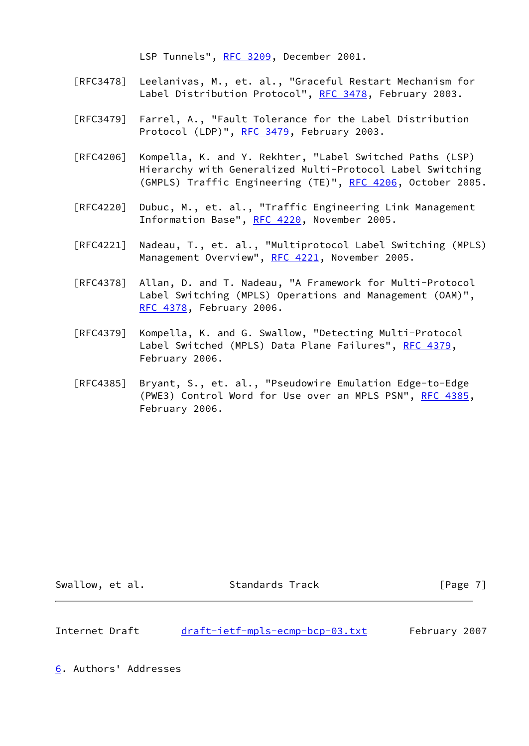LSP Tunnels", [RFC 3209](https://datatracker.ietf.org/doc/pdf/rfc3209), December 2001.

- [RFC3478] Leelanivas, M., et. al., "Graceful Restart Mechanism for Label Distribution Protocol", [RFC 3478](https://datatracker.ietf.org/doc/pdf/rfc3478), February 2003.
- [RFC3479] Farrel, A., "Fault Tolerance for the Label Distribution Protocol (LDP)", [RFC 3479,](https://datatracker.ietf.org/doc/pdf/rfc3479) February 2003.
- [RFC4206] Kompella, K. and Y. Rekhter, "Label Switched Paths (LSP) Hierarchy with Generalized Multi-Protocol Label Switching (GMPLS) Traffic Engineering (TE)", [RFC 4206](https://datatracker.ietf.org/doc/pdf/rfc4206), October 2005.
- [RFC4220] Dubuc, M., et. al., "Traffic Engineering Link Management Information Base", [RFC 4220](https://datatracker.ietf.org/doc/pdf/rfc4220), November 2005.
- [RFC4221] Nadeau, T., et. al., "Multiprotocol Label Switching (MPLS) Management Overview", [RFC 4221](https://datatracker.ietf.org/doc/pdf/rfc4221), November 2005.
- [RFC4378] Allan, D. and T. Nadeau, "A Framework for Multi-Protocol Label Switching (MPLS) Operations and Management (OAM)", [RFC 4378,](https://datatracker.ietf.org/doc/pdf/rfc4378) February 2006.
- [RFC4379] Kompella, K. and G. Swallow, "Detecting Multi-Protocol Label Switched (MPLS) Data Plane Failures", [RFC 4379,](https://datatracker.ietf.org/doc/pdf/rfc4379) February 2006.
- [RFC4385] Bryant, S., et. al., "Pseudowire Emulation Edge-to-Edge (PWE3) Control Word for Use over an MPLS PSN", [RFC 4385](https://datatracker.ietf.org/doc/pdf/rfc4385), February 2006.

Swallow, et al. Standards Track [Page 7]

<span id="page-7-1"></span>Internet Draft [draft-ietf-mpls-ecmp-bcp-03.txt](https://datatracker.ietf.org/doc/pdf/draft-ietf-mpls-ecmp-bcp-03.txt) February 2007

<span id="page-7-0"></span>[6](#page-7-0). Authors' Addresses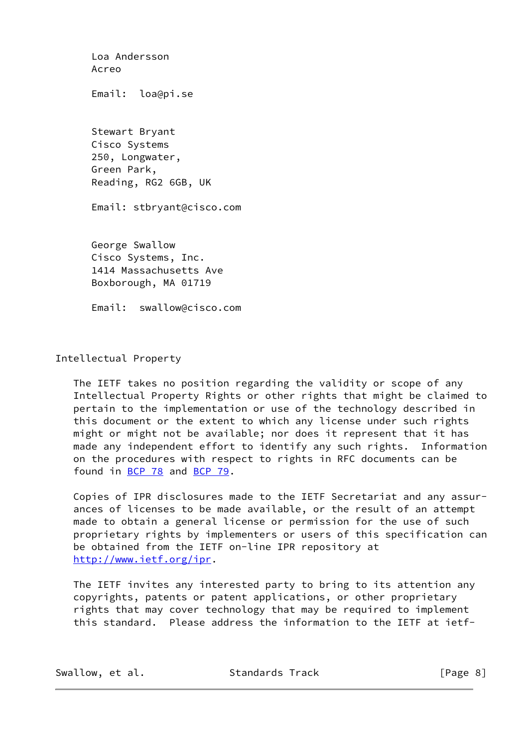Loa Andersson Acreo Email: loa@pi.se Stewart Bryant Cisco Systems 250, Longwater, Green Park, Reading, RG2 6GB, UK Email: stbryant@cisco.com George Swallow Cisco Systems, Inc. 1414 Massachusetts Ave Boxborough, MA 01719 Email: swallow@cisco.com

Intellectual Property

 The IETF takes no position regarding the validity or scope of any Intellectual Property Rights or other rights that might be claimed to pertain to the implementation or use of the technology described in this document or the extent to which any license under such rights might or might not be available; nor does it represent that it has made any independent effort to identify any such rights. Information on the procedures with respect to rights in RFC documents can be found in [BCP 78](https://datatracker.ietf.org/doc/pdf/bcp78) and [BCP 79](https://datatracker.ietf.org/doc/pdf/bcp79).

 Copies of IPR disclosures made to the IETF Secretariat and any assur ances of licenses to be made available, or the result of an attempt made to obtain a general license or permission for the use of such proprietary rights by implementers or users of this specification can be obtained from the IETF on-line IPR repository at <http://www.ietf.org/ipr>.

 The IETF invites any interested party to bring to its attention any copyrights, patents or patent applications, or other proprietary rights that may cover technology that may be required to implement this standard. Please address the information to the IETF at ietf-

Swallow, et al. Standards Track [Page 8]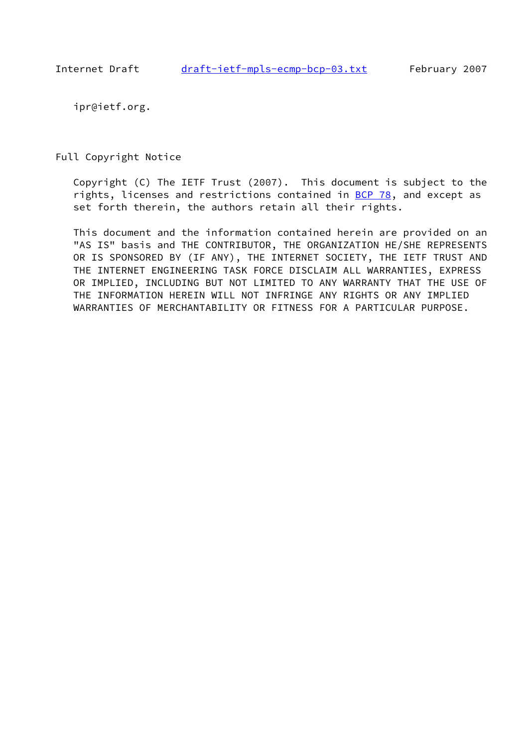ipr@ietf.org.

Full Copyright Notice

 Copyright (C) The IETF Trust (2007). This document is subject to the rights, licenses and restrictions contained in [BCP 78](https://datatracker.ietf.org/doc/pdf/bcp78), and except as set forth therein, the authors retain all their rights.

 This document and the information contained herein are provided on an "AS IS" basis and THE CONTRIBUTOR, THE ORGANIZATION HE/SHE REPRESENTS OR IS SPONSORED BY (IF ANY), THE INTERNET SOCIETY, THE IETF TRUST AND THE INTERNET ENGINEERING TASK FORCE DISCLAIM ALL WARRANTIES, EXPRESS OR IMPLIED, INCLUDING BUT NOT LIMITED TO ANY WARRANTY THAT THE USE OF THE INFORMATION HEREIN WILL NOT INFRINGE ANY RIGHTS OR ANY IMPLIED WARRANTIES OF MERCHANTABILITY OR FITNESS FOR A PARTICULAR PURPOSE.